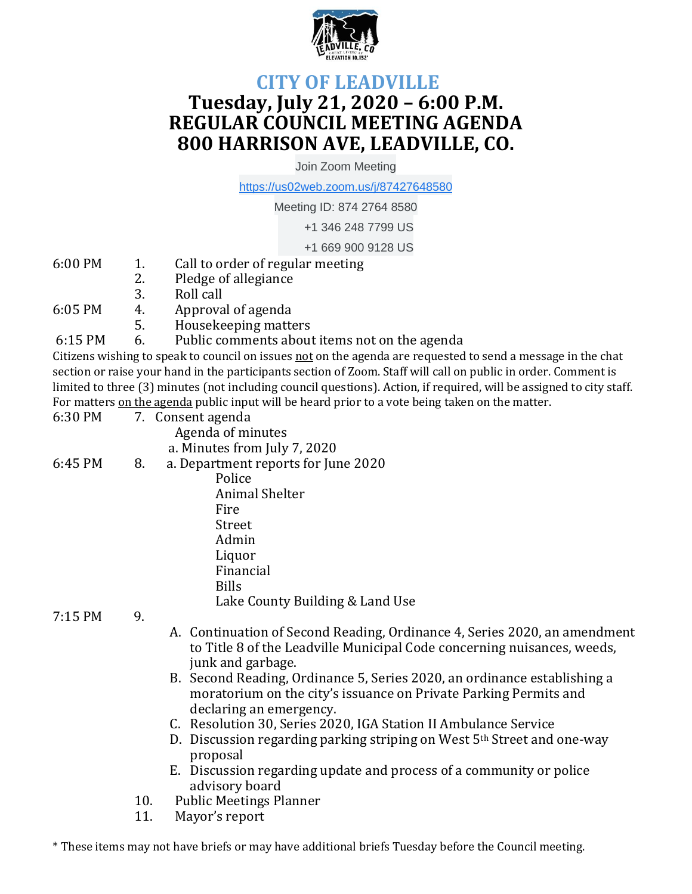

## **CITY OF LEADVILLE Tuesday, July 21, 2020 – 6:00 P.M. REGULAR COUNCIL MEETING AGENDA 800 HARRISON AVE, LEADVILLE, CO.**

Join Zoom Meeting

[https://us02web.zoom.us/j/87427648580](https://www.google.com/url?q=https://us02web.zoom.us/j/87427648580&sa=D&source=calendar&ust=1595266595664000&usg=AOvVaw0osbYx2KGlMSj4ZFaPPa-E)

Meeting ID: 874 2764 8580

+1 346 248 7799 US

+1 669 900 9128 US

- 6:00 PM 1. Call to order of regular meeting
	- 2. Pledge of allegiance
	- 3. Roll call
- 6:05 PM 4. Approval of agenda
	- 5. Housekeeping matters
- 6:15 PM 6. Public comments about items not on the agenda

Citizens wishing to speak to council on issues not on the agenda are requested to send a message in the chat section or raise your hand in the participants section of Zoom. Staff will call on public in order. Comment is limited to three (3) minutes (not including council questions). Action, if required, will be assigned to city staff. For matters on the agenda public input will be heard prior to a vote being taken on the matter.

| 6:30 PM |    | 7. Consent agenda                   |
|---------|----|-------------------------------------|
|         |    | Agenda of minutes                   |
|         |    | a. Minutes from July 7, 2020        |
| 6:45 PM | 8. | a. Department reports for June 2020 |
|         |    | Police                              |
|         |    | <b>Animal Shelter</b>               |
|         |    | Fire                                |
|         |    | Street                              |
|         |    | Admin                               |
|         |    | Liquor                              |
|         |    | Financial                           |
|         |    | <b>Bills</b>                        |
|         |    | Lake County Building & Land Use     |

7:15 PM 9.

- A. Continuation of Second Reading, Ordinance 4, Series 2020, an amendment to Title 8 of the Leadville Municipal Code concerning nuisances, weeds, junk and garbage.
- B. Second Reading, Ordinance 5, Series 2020, an ordinance establishing a moratorium on the city's issuance on Private Parking Permits and declaring an emergency.
- C. Resolution 30, Series 2020, IGA Station II Ambulance Service
- D. Discussion regarding parking striping on West 5th Street and one-way proposal
- E. Discussion regarding update and process of a community or police advisory board
- 10. Public Meetings Planner
- 11. Mayor's report

\* These items may not have briefs or may have additional briefs Tuesday before the Council meeting.